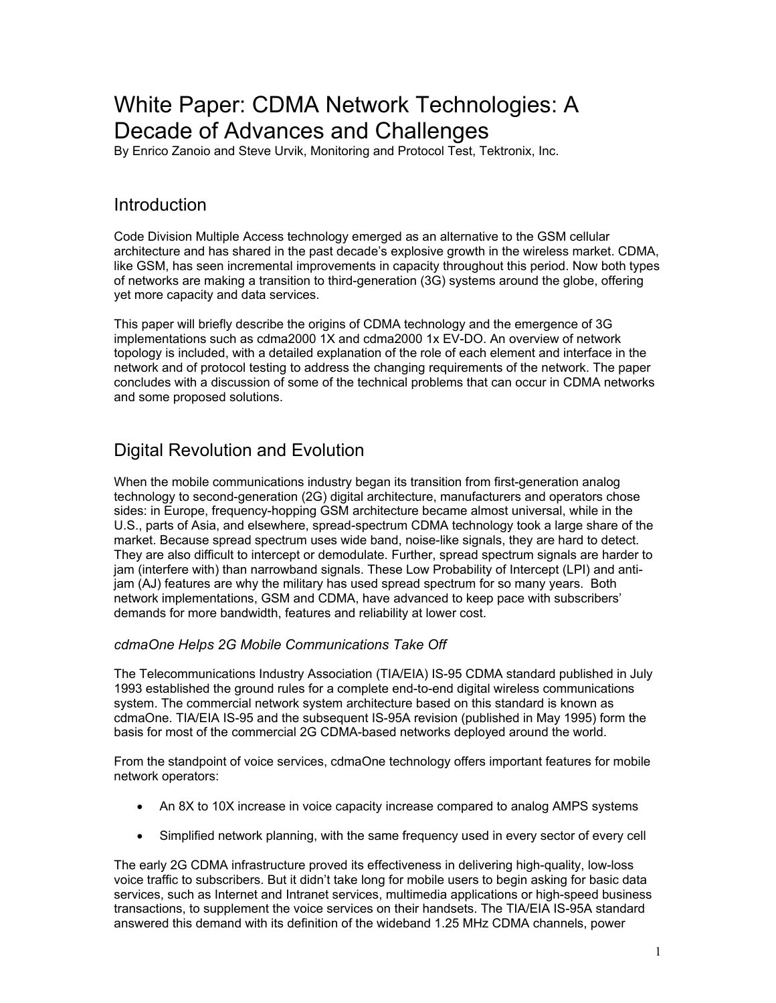# White Paper: CDMA Network Technologies: A Decade of Advances and Challenges

By Enrico Zanoio and Steve Urvik, Monitoring and Protocol Test, Tektronix, Inc.

# Introduction

Code Division Multiple Access technology emerged as an alternative to the GSM cellular architecture and has shared in the past decade's explosive growth in the wireless market. CDMA, like GSM, has seen incremental improvements in capacity throughout this period. Now both types of networks are making a transition to third-generation (3G) systems around the globe, offering yet more capacity and data services.

This paper will briefly describe the origins of CDMA technology and the emergence of 3G implementations such as cdma2000 1X and cdma2000 1x EV-DO. An overview of network topology is included, with a detailed explanation of the role of each element and interface in the network and of protocol testing to address the changing requirements of the network. The paper concludes with a discussion of some of the technical problems that can occur in CDMA networks and some proposed solutions.

# Digital Revolution and Evolution

When the mobile communications industry began its transition from first-generation analog technology to second-generation (2G) digital architecture, manufacturers and operators chose sides: in Europe, frequency-hopping GSM architecture became almost universal, while in the U.S., parts of Asia, and elsewhere, spread-spectrum CDMA technology took a large share of the market. Because spread spectrum uses wide band, noise-like signals, they are hard to detect. They are also difficult to intercept or demodulate. Further, spread spectrum signals are harder to jam (interfere with) than narrowband signals. These Low Probability of Intercept (LPI) and antijam (AJ) features are why the military has used spread spectrum for so many years. Both network implementations, GSM and CDMA, have advanced to keep pace with subscribers' demands for more bandwidth, features and reliability at lower cost.

### *cdmaOne Helps 2G Mobile Communications Take Off*

The Telecommunications Industry Association (TIA/EIA) IS-95 CDMA standard published in July 1993 established the ground rules for a complete end-to-end digital wireless communications system. The commercial network system architecture based on this standard is known as cdmaOne. TIA/EIA IS-95 and the subsequent IS-95A revision (published in May 1995) form the basis for most of the commercial 2G CDMA-based networks deployed around the world.

From the standpoint of voice services, cdmaOne technology offers important features for mobile network operators:

- An 8X to 10X increase in voice capacity increase compared to analog AMPS systems
- Simplified network planning, with the same frequency used in every sector of every cell

The early 2G CDMA infrastructure proved its effectiveness in delivering high-quality, low-loss voice traffic to subscribers. But it didn't take long for mobile users to begin asking for basic data services, such as Internet and Intranet services, multimedia applications or high-speed business transactions, to supplement the voice services on their handsets. The TIA/EIA IS-95A standard answered this demand with its definition of the wideband 1.25 MHz CDMA channels, power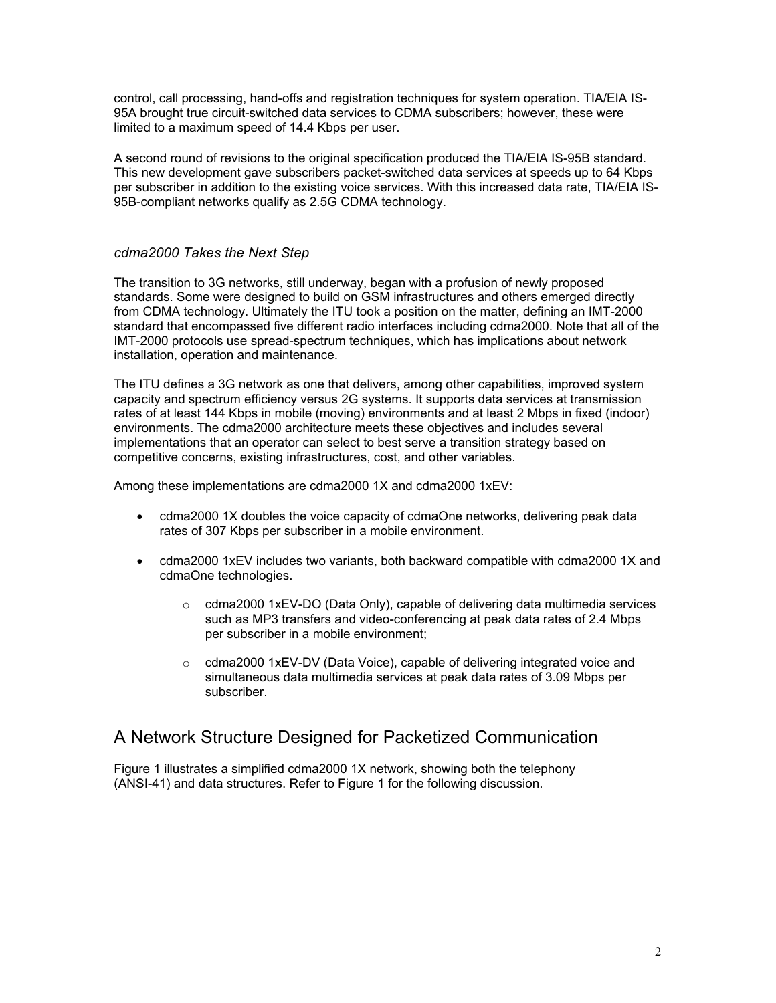control, call processing, hand-offs and registration techniques for system operation. TIA/EIA IS-95A brought true circuit-switched data services to CDMA subscribers; however, these were limited to a maximum speed of 14.4 Kbps per user.

A second round of revisions to the original specification produced the TIA/EIA IS-95B standard. This new development gave subscribers packet-switched data services at speeds up to 64 Kbps per subscriber in addition to the existing voice services. With this increased data rate, TIA/EIA IS-95B-compliant networks qualify as 2.5G CDMA technology.

#### *cdma2000 Takes the Next Step*

The transition to 3G networks, still underway, began with a profusion of newly proposed standards. Some were designed to build on GSM infrastructures and others emerged directly from CDMA technology. Ultimately the ITU took a position on the matter, defining an IMT-2000 standard that encompassed five different radio interfaces including cdma2000. Note that all of the IMT-2000 protocols use spread-spectrum techniques, which has implications about network installation, operation and maintenance.

The ITU defines a 3G network as one that delivers, among other capabilities, improved system capacity and spectrum efficiency versus 2G systems. It supports data services at transmission rates of at least 144 Kbps in mobile (moving) environments and at least 2 Mbps in fixed (indoor) environments. The cdma2000 architecture meets these objectives and includes several implementations that an operator can select to best serve a transition strategy based on competitive concerns, existing infrastructures, cost, and other variables.

Among these implementations are cdma2000 1X and cdma2000 1xEV:

- cdma2000 1X doubles the voice capacity of cdmaOne networks, delivering peak data rates of 307 Kbps per subscriber in a mobile environment.
- cdma2000 1xEV includes two variants, both backward compatible with cdma2000 1X and cdmaOne technologies.
	- $\circ$  cdma2000 1xEV-DO (Data Only), capable of delivering data multimedia services such as MP3 transfers and video-conferencing at peak data rates of 2.4 Mbps per subscriber in a mobile environment;
	- o cdma2000 1xEV-DV (Data Voice), capable of delivering integrated voice and simultaneous data multimedia services at peak data rates of 3.09 Mbps per subscriber.

### A Network Structure Designed for Packetized Communication

Figure 1 illustrates a simplified cdma2000 1X network, showing both the telephony (ANSI-41) and data structures. Refer to Figure 1 for the following discussion.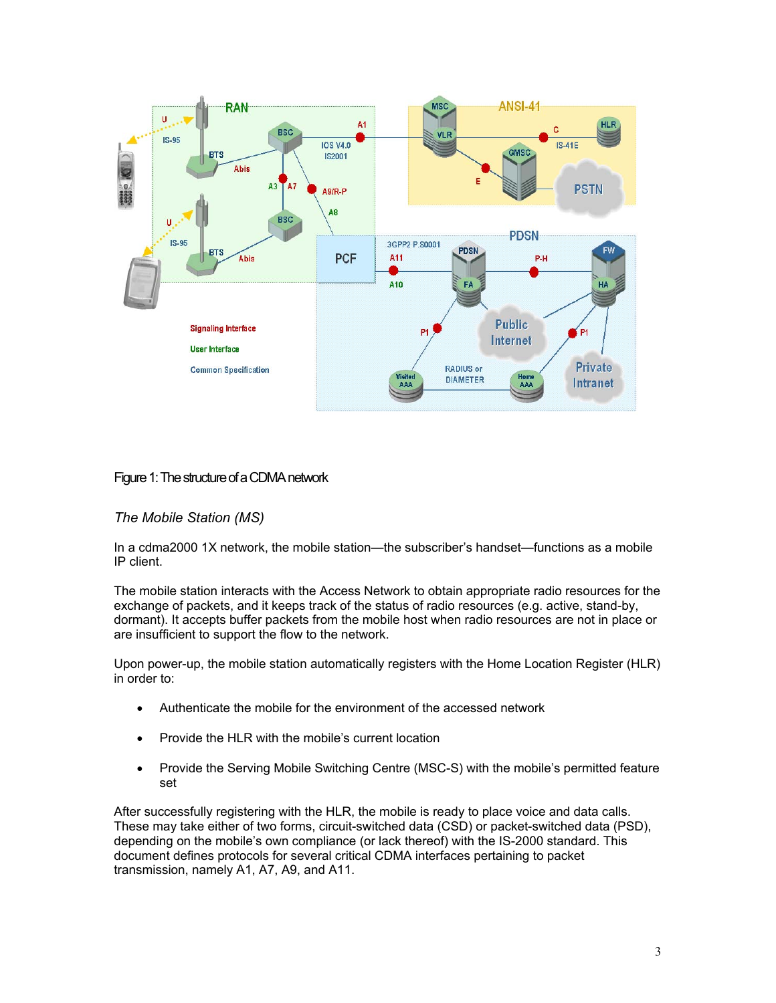

#### Figure 1: The structure of a CDMA network

#### *The Mobile Station (MS)*

In a cdma2000 1X network, the mobile station—the subscriber's handset—functions as a mobile IP client.

The mobile station interacts with the Access Network to obtain appropriate radio resources for the exchange of packets, and it keeps track of the status of radio resources (e.g. active, stand-by, dormant). It accepts buffer packets from the mobile host when radio resources are not in place or are insufficient to support the flow to the network.

Upon power-up, the mobile station automatically registers with the Home Location Register (HLR) in order to:

- Authenticate the mobile for the environment of the accessed network
- Provide the HLR with the mobile's current location
- Provide the Serving Mobile Switching Centre (MSC-S) with the mobile's permitted feature set

After successfully registering with the HLR, the mobile is ready to place voice and data calls. These may take either of two forms, circuit-switched data (CSD) or packet-switched data (PSD), depending on the mobile's own compliance (or lack thereof) with the IS-2000 standard. This document defines protocols for several critical CDMA interfaces pertaining to packet transmission, namely A1, A7, A9, and A11.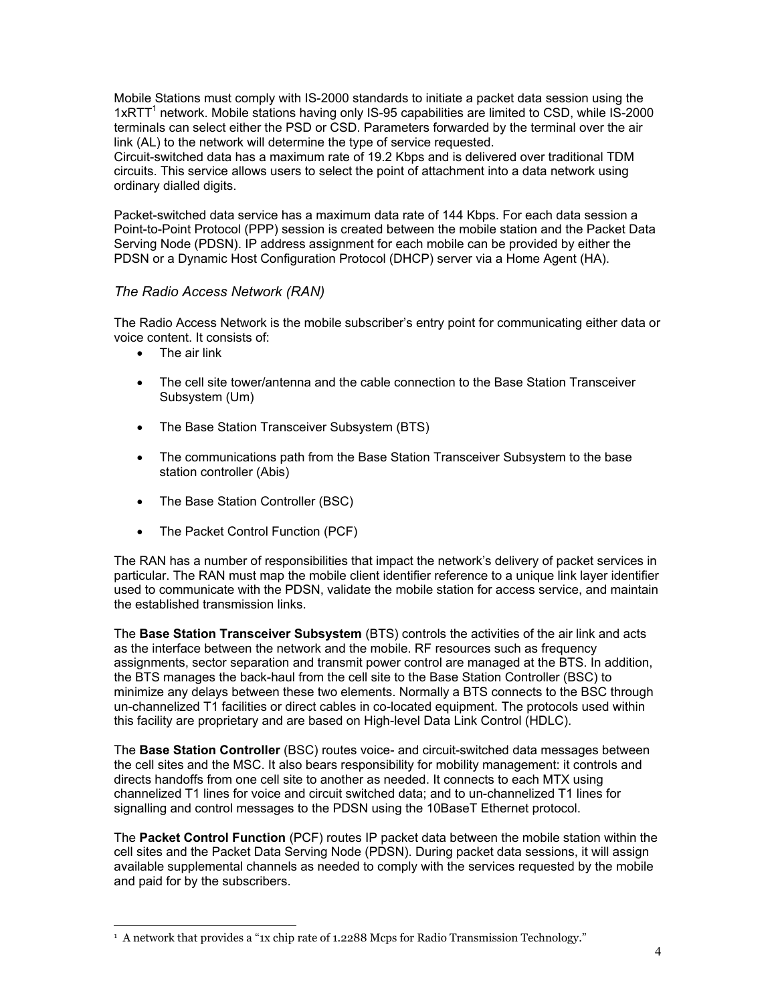Mobile Stations must comply with IS-2000 standards to initiate a packet data session using the 1xRTT<sup>1</sup> network. Mobile stations having only IS-95 capabilities are limited to CSD, while IS-2000 terminals can select either the PSD or CSD. Parameters forwarded by the terminal over the air link (AL) to the network will determine the type of service requested.

Circuit-switched data has a maximum rate of 19.2 Kbps and is delivered over traditional TDM circuits. This service allows users to select the point of attachment into a data network using ordinary dialled digits.

Packet-switched data service has a maximum data rate of 144 Kbps. For each data session a Point-to-Point Protocol (PPP) session is created between the mobile station and the Packet Data Serving Node (PDSN). IP address assignment for each mobile can be provided by either the PDSN or a Dynamic Host Configuration Protocol (DHCP) server via a Home Agent (HA).

#### *The Radio Access Network (RAN)*

The Radio Access Network is the mobile subscriber's entry point for communicating either data or voice content. It consists of:

- The air link
- The cell site tower/antenna and the cable connection to the Base Station Transceiver Subsystem (Um)
- The Base Station Transceiver Subsystem (BTS)
- The communications path from the Base Station Transceiver Subsystem to the base station controller (Abis)
- The Base Station Controller (BSC)
- The Packet Control Function (PCF)

The RAN has a number of responsibilities that impact the network's delivery of packet services in particular. The RAN must map the mobile client identifier reference to a unique link layer identifier used to communicate with the PDSN, validate the mobile station for access service, and maintain the established transmission links.

The **Base Station Transceiver Subsystem** (BTS) controls the activities of the air link and acts as the interface between the network and the mobile. RF resources such as frequency assignments, sector separation and transmit power control are managed at the BTS. In addition, the BTS manages the back-haul from the cell site to the Base Station Controller (BSC) to minimize any delays between these two elements. Normally a BTS connects to the BSC through un-channelized T1 facilities or direct cables in co-located equipment. The protocols used within this facility are proprietary and are based on High-level Data Link Control (HDLC).

The **Base Station Controller** (BSC) routes voice- and circuit-switched data messages between the cell sites and the MSC. It also bears responsibility for mobility management: it controls and directs handoffs from one cell site to another as needed. It connects to each MTX using channelized T1 lines for voice and circuit switched data; and to un-channelized T1 lines for signalling and control messages to the PDSN using the 10BaseT Ethernet protocol.

The **Packet Control Function** (PCF) routes IP packet data between the mobile station within the cell sites and the Packet Data Serving Node (PDSN). During packet data sessions, it will assign available supplemental channels as needed to comply with the services requested by the mobile and paid for by the subscribers.

 $\overline{\phantom{a}}$ <sup>1</sup> A network that provides a "1x chip rate of 1.2288 Mcps for Radio Transmission Technology."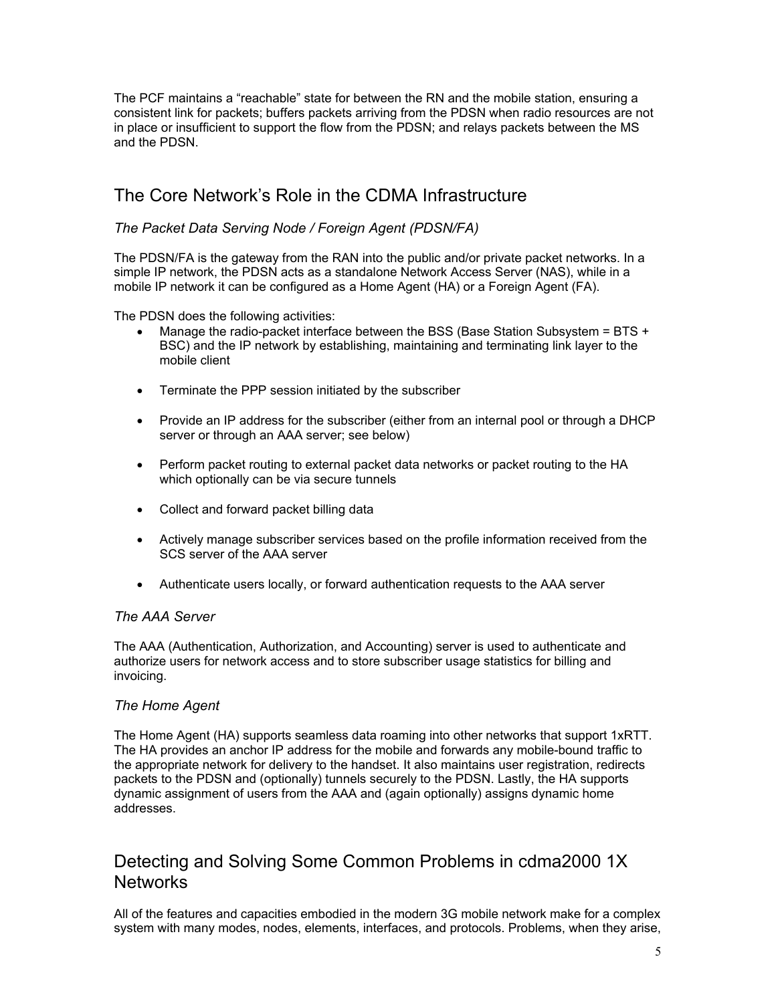The PCF maintains a "reachable" state for between the RN and the mobile station, ensuring a consistent link for packets; buffers packets arriving from the PDSN when radio resources are not in place or insufficient to support the flow from the PDSN; and relays packets between the MS and the PDSN.

# The Core Network's Role in the CDMA Infrastructure

### *The Packet Data Serving Node / Foreign Agent (PDSN/FA)*

The PDSN/FA is the gateway from the RAN into the public and/or private packet networks. In a simple IP network, the PDSN acts as a standalone Network Access Server (NAS), while in a mobile IP network it can be configured as a Home Agent (HA) or a Foreign Agent (FA).

The PDSN does the following activities:

- Manage the radio-packet interface between the BSS (Base Station Subsystem =  $BTS +$ BSC) and the IP network by establishing, maintaining and terminating link layer to the mobile client
- Terminate the PPP session initiated by the subscriber
- Provide an IP address for the subscriber (either from an internal pool or through a DHCP server or through an AAA server; see below)
- Perform packet routing to external packet data networks or packet routing to the HA which optionally can be via secure tunnels
- Collect and forward packet billing data
- Actively manage subscriber services based on the profile information received from the SCS server of the AAA server
- Authenticate users locally, or forward authentication requests to the AAA server

#### *The AAA Server*

The AAA (Authentication, Authorization, and Accounting) server is used to authenticate and authorize users for network access and to store subscriber usage statistics for billing and invoicing.

#### *The Home Agent*

The Home Agent (HA) supports seamless data roaming into other networks that support 1xRTT. The HA provides an anchor IP address for the mobile and forwards any mobile-bound traffic to the appropriate network for delivery to the handset. It also maintains user registration, redirects packets to the PDSN and (optionally) tunnels securely to the PDSN. Lastly, the HA supports dynamic assignment of users from the AAA and (again optionally) assigns dynamic home addresses.

# Detecting and Solving Some Common Problems in cdma2000 1X **Networks**

All of the features and capacities embodied in the modern 3G mobile network make for a complex system with many modes, nodes, elements, interfaces, and protocols. Problems, when they arise,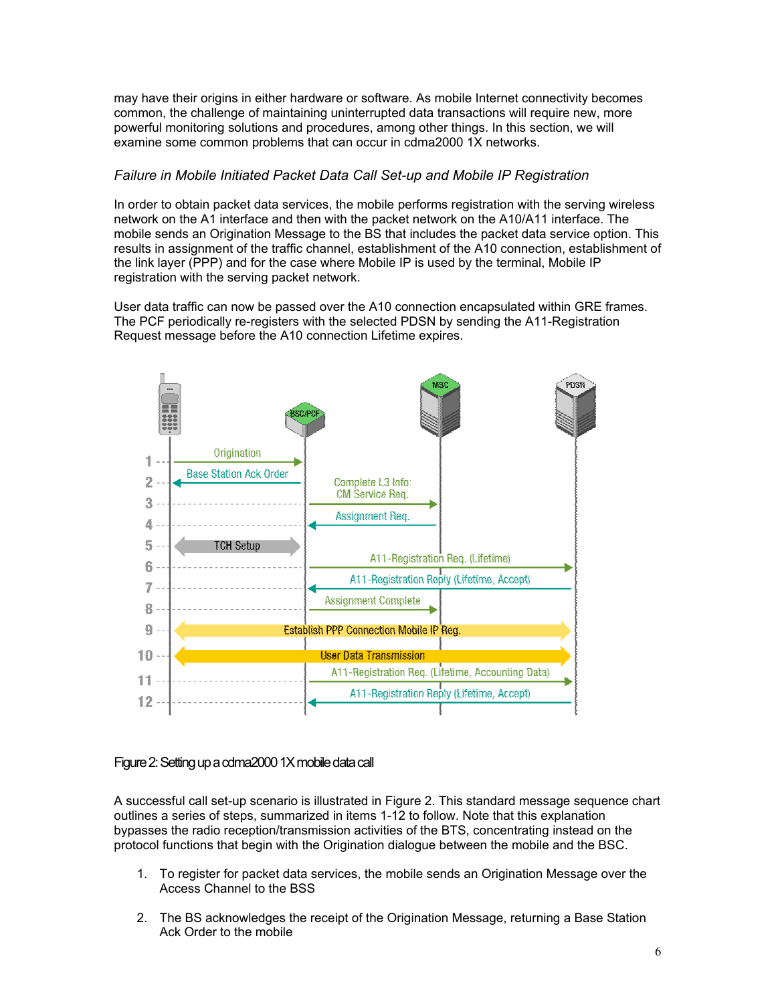may have their origins in either hardware or software. As mobile Internet connectivity becomes common, the challenge of maintaining uninterrupted data transactions will require new, more powerful monitoring solutions and procedures, among other things. In this section, we will examine some common problems that can occur in cdma2000 1X networks.

#### *Failure in Mobile Initiated Packet Data Call Set-up and Mobile IP Registration*

In order to obtain packet data services, the mobile performs registration with the serving wireless network on the A1 interface and then with the packet network on the A10/A11 interface. The mobile sends an Origination Message to the BS that includes the packet data service option. This results in assignment of the traffic channel, establishment of the A10 connection, establishment of the link layer (PPP) and for the case where Mobile IP is used by the terminal, Mobile IP registration with the serving packet network.

User data traffic can now be passed over the A10 connection encapsulated within GRE frames. The PCF periodically re-registers with the selected PDSN by sending the A11-Registration Request message before the A10 connection Lifetime expires.



#### Figure 2: Setting up a cdma2000 1X mobile data call

A successful call set-up scenario is illustrated in Figure 2. This standard message sequence chart outlines a series of steps, summarized in items 1-12 to follow. Note that this explanation bypasses the radio reception/transmission activities of the BTS, concentrating instead on the protocol functions that begin with the Origination dialogue between the mobile and the BSC.

- 1. To register for packet data services, the mobile sends an Origination Message over the Access Channel to the BSS
- 2. The BS acknowledges the receipt of the Origination Message, returning a Base Station Ack Order to the mobile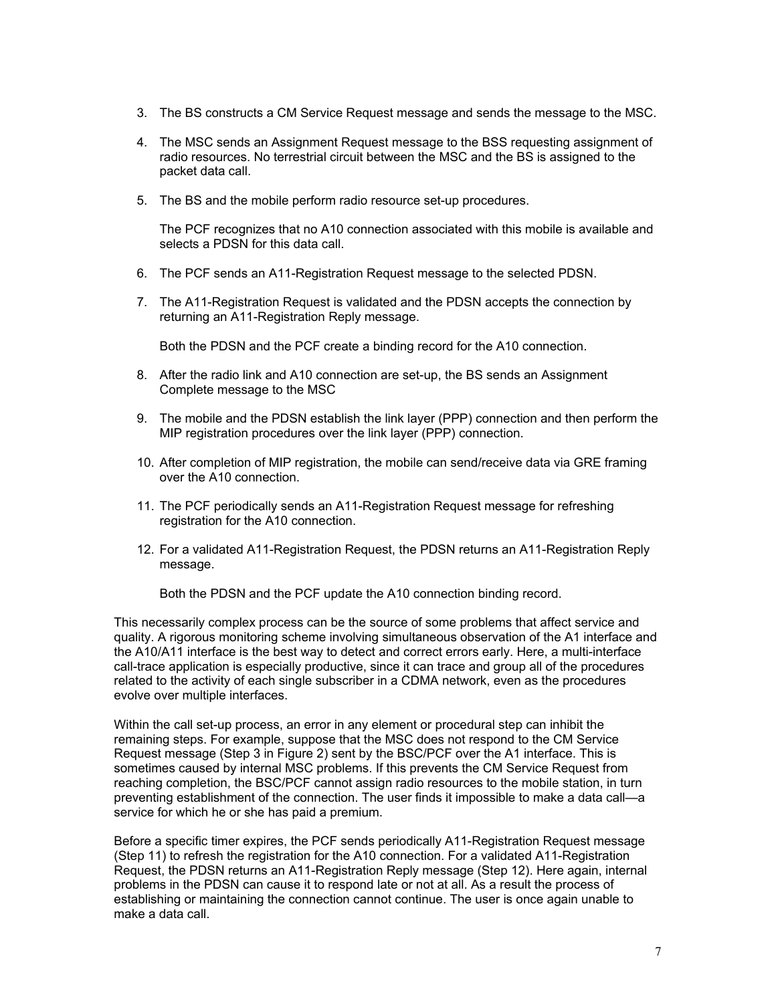- 3. The BS constructs a CM Service Request message and sends the message to the MSC.
- 4. The MSC sends an Assignment Request message to the BSS requesting assignment of radio resources. No terrestrial circuit between the MSC and the BS is assigned to the packet data call.
- 5. The BS and the mobile perform radio resource set-up procedures.

The PCF recognizes that no A10 connection associated with this mobile is available and selects a PDSN for this data call.

- 6. The PCF sends an A11-Registration Request message to the selected PDSN.
- 7. The A11-Registration Request is validated and the PDSN accepts the connection by returning an A11-Registration Reply message.

Both the PDSN and the PCF create a binding record for the A10 connection.

- 8. After the radio link and A10 connection are set-up, the BS sends an Assignment Complete message to the MSC
- 9. The mobile and the PDSN establish the link layer (PPP) connection and then perform the MIP registration procedures over the link layer (PPP) connection.
- 10. After completion of MIP registration, the mobile can send/receive data via GRE framing over the A10 connection.
- 11. The PCF periodically sends an A11-Registration Request message for refreshing registration for the A10 connection.
- 12. For a validated A11-Registration Request, the PDSN returns an A11-Registration Reply message.

Both the PDSN and the PCF update the A10 connection binding record.

This necessarily complex process can be the source of some problems that affect service and quality. A rigorous monitoring scheme involving simultaneous observation of the A1 interface and the A10/A11 interface is the best way to detect and correct errors early. Here, a multi-interface call-trace application is especially productive, since it can trace and group all of the procedures related to the activity of each single subscriber in a CDMA network, even as the procedures evolve over multiple interfaces.

Within the call set-up process, an error in any element or procedural step can inhibit the remaining steps. For example, suppose that the MSC does not respond to the CM Service Request message (Step 3 in Figure 2) sent by the BSC/PCF over the A1 interface. This is sometimes caused by internal MSC problems. If this prevents the CM Service Request from reaching completion, the BSC/PCF cannot assign radio resources to the mobile station, in turn preventing establishment of the connection. The user finds it impossible to make a data call—a service for which he or she has paid a premium.

Before a specific timer expires, the PCF sends periodically A11-Registration Request message (Step 11) to refresh the registration for the A10 connection. For a validated A11-Registration Request, the PDSN returns an A11-Registration Reply message (Step 12). Here again, internal problems in the PDSN can cause it to respond late or not at all. As a result the process of establishing or maintaining the connection cannot continue. The user is once again unable to make a data call.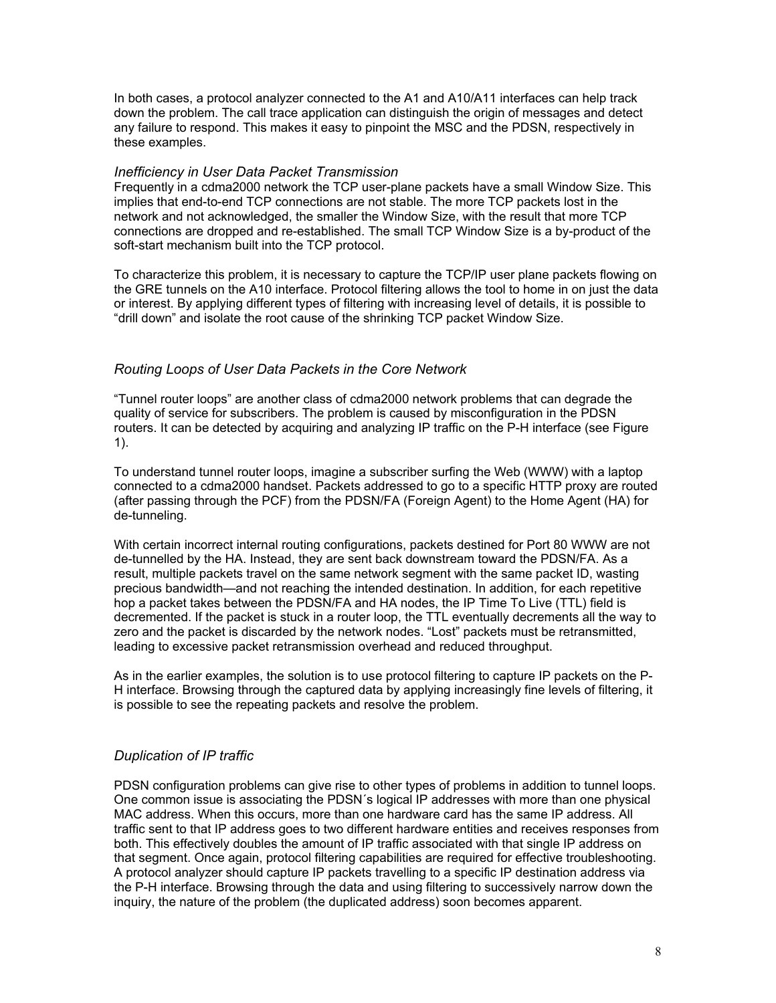In both cases, a protocol analyzer connected to the A1 and A10/A11 interfaces can help track down the problem. The call trace application can distinguish the origin of messages and detect any failure to respond. This makes it easy to pinpoint the MSC and the PDSN, respectively in these examples.

#### *Inefficiency in User Data Packet Transmission*

Frequently in a cdma2000 network the TCP user-plane packets have a small Window Size. This implies that end-to-end TCP connections are not stable. The more TCP packets lost in the network and not acknowledged, the smaller the Window Size, with the result that more TCP connections are dropped and re-established. The small TCP Window Size is a by-product of the soft-start mechanism built into the TCP protocol.

To characterize this problem, it is necessary to capture the TCP/IP user plane packets flowing on the GRE tunnels on the A10 interface. Protocol filtering allows the tool to home in on just the data or interest. By applying different types of filtering with increasing level of details, it is possible to "drill down" and isolate the root cause of the shrinking TCP packet Window Size.

#### *Routing Loops of User Data Packets in the Core Network*

"Tunnel router loops" are another class of cdma2000 network problems that can degrade the quality of service for subscribers. The problem is caused by misconfiguration in the PDSN routers. It can be detected by acquiring and analyzing IP traffic on the P-H interface (see Figure 1).

To understand tunnel router loops, imagine a subscriber surfing the Web (WWW) with a laptop connected to a cdma2000 handset. Packets addressed to go to a specific HTTP proxy are routed (after passing through the PCF) from the PDSN/FA (Foreign Agent) to the Home Agent (HA) for de-tunneling.

With certain incorrect internal routing configurations, packets destined for Port 80 WWW are not de-tunnelled by the HA. Instead, they are sent back downstream toward the PDSN/FA. As a result, multiple packets travel on the same network segment with the same packet ID, wasting precious bandwidth—and not reaching the intended destination. In addition, for each repetitive hop a packet takes between the PDSN/FA and HA nodes, the IP Time To Live (TTL) field is decremented. If the packet is stuck in a router loop, the TTL eventually decrements all the way to zero and the packet is discarded by the network nodes. "Lost" packets must be retransmitted, leading to excessive packet retransmission overhead and reduced throughput.

As in the earlier examples, the solution is to use protocol filtering to capture IP packets on the P-H interface. Browsing through the captured data by applying increasingly fine levels of filtering, it is possible to see the repeating packets and resolve the problem.

#### *Duplication of IP traffic*

PDSN configuration problems can give rise to other types of problems in addition to tunnel loops. One common issue is associating the PDSN´s logical IP addresses with more than one physical MAC address. When this occurs, more than one hardware card has the same IP address. All traffic sent to that IP address goes to two different hardware entities and receives responses from both. This effectively doubles the amount of IP traffic associated with that single IP address on that segment. Once again, protocol filtering capabilities are required for effective troubleshooting. A protocol analyzer should capture IP packets travelling to a specific IP destination address via the P-H interface. Browsing through the data and using filtering to successively narrow down the inquiry, the nature of the problem (the duplicated address) soon becomes apparent.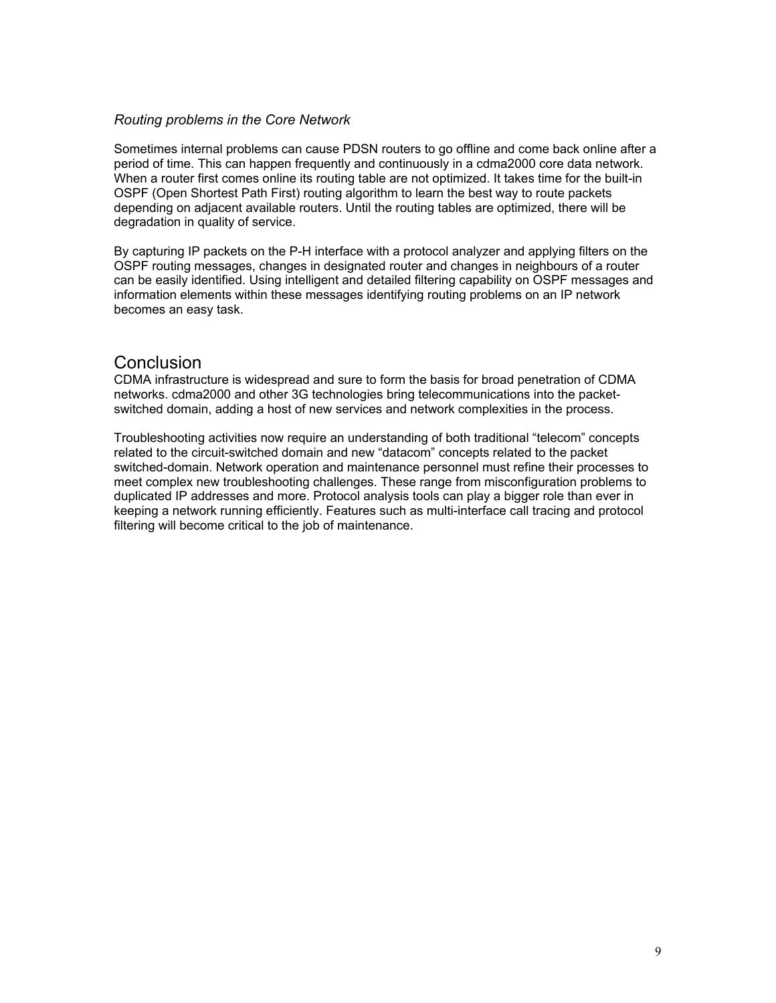#### *Routing problems in the Core Network*

Sometimes internal problems can cause PDSN routers to go offline and come back online after a period of time. This can happen frequently and continuously in a cdma2000 core data network. When a router first comes online its routing table are not optimized. It takes time for the built-in OSPF (Open Shortest Path First) routing algorithm to learn the best way to route packets depending on adjacent available routers. Until the routing tables are optimized, there will be degradation in quality of service.

By capturing IP packets on the P-H interface with a protocol analyzer and applying filters on the OSPF routing messages, changes in designated router and changes in neighbours of a router can be easily identified. Using intelligent and detailed filtering capability on OSPF messages and information elements within these messages identifying routing problems on an IP network becomes an easy task.

### **Conclusion**

CDMA infrastructure is widespread and sure to form the basis for broad penetration of CDMA networks. cdma2000 and other 3G technologies bring telecommunications into the packetswitched domain, adding a host of new services and network complexities in the process.

Troubleshooting activities now require an understanding of both traditional "telecom" concepts related to the circuit-switched domain and new "datacom" concepts related to the packet switched-domain. Network operation and maintenance personnel must refine their processes to meet complex new troubleshooting challenges. These range from misconfiguration problems to duplicated IP addresses and more. Protocol analysis tools can play a bigger role than ever in keeping a network running efficiently. Features such as multi-interface call tracing and protocol filtering will become critical to the job of maintenance.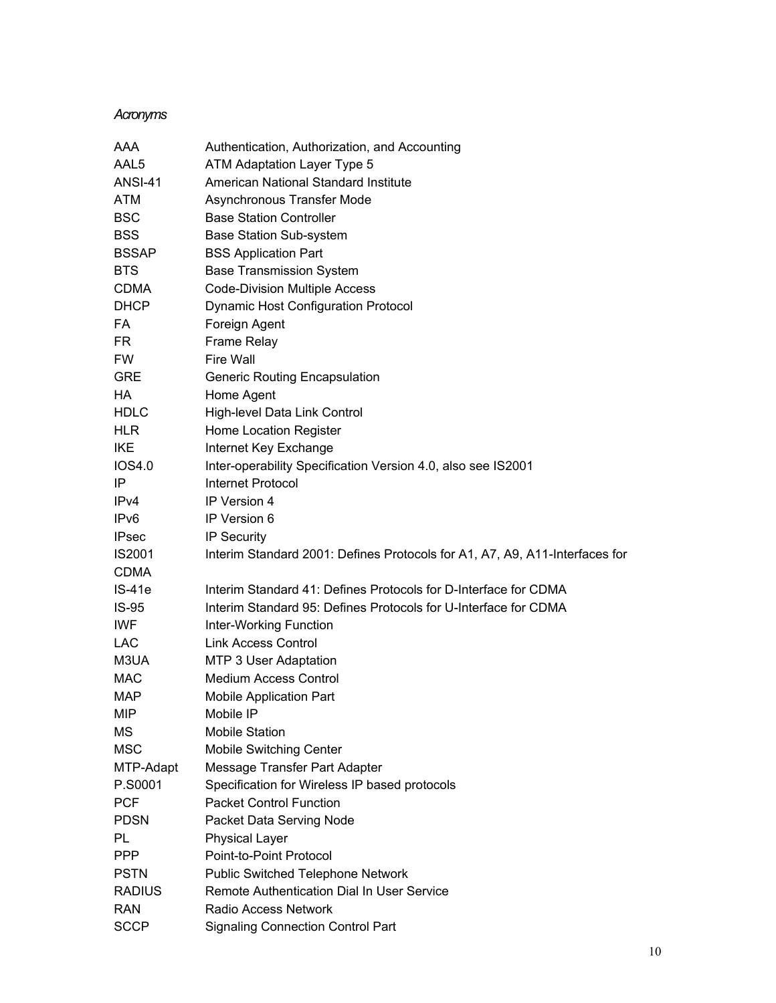### *Acronyms*

| AAA              | Authentication, Authorization, and Accounting                               |
|------------------|-----------------------------------------------------------------------------|
| AAL <sub>5</sub> | ATM Adaptation Layer Type 5                                                 |
| <b>ANSI-41</b>   | American National Standard Institute                                        |
| <b>ATM</b>       | Asynchronous Transfer Mode                                                  |
| <b>BSC</b>       | <b>Base Station Controller</b>                                              |
| <b>BSS</b>       | <b>Base Station Sub-system</b>                                              |
| <b>BSSAP</b>     | <b>BSS Application Part</b>                                                 |
| <b>BTS</b>       | <b>Base Transmission System</b>                                             |
| <b>CDMA</b>      | <b>Code-Division Multiple Access</b>                                        |
| <b>DHCP</b>      | <b>Dynamic Host Configuration Protocol</b>                                  |
| FA               | Foreign Agent                                                               |
| FR.              | <b>Frame Relay</b>                                                          |
| <b>FW</b>        | Fire Wall                                                                   |
| <b>GRE</b>       | <b>Generic Routing Encapsulation</b>                                        |
| HA               | Home Agent                                                                  |
| <b>HDLC</b>      | High-level Data Link Control                                                |
| <b>HLR</b>       | Home Location Register                                                      |
| <b>IKE</b>       | Internet Key Exchange                                                       |
| IOS4.0           | Inter-operability Specification Version 4.0, also see IS2001                |
| IP               | <b>Internet Protocol</b>                                                    |
| IPv4             | IP Version 4                                                                |
| IP <sub>v6</sub> | IP Version 6                                                                |
| <b>IPsec</b>     | <b>IP Security</b>                                                          |
| <b>IS2001</b>    | Interim Standard 2001: Defines Protocols for A1, A7, A9, A11-Interfaces for |
| <b>CDMA</b>      |                                                                             |
| <b>IS-41e</b>    | Interim Standard 41: Defines Protocols for D-Interface for CDMA             |
| $IS-95$          | Interim Standard 95: Defines Protocols for U-Interface for CDMA             |
| IWF              | Inter-Working Function                                                      |
| <b>LAC</b>       | <b>Link Access Control</b>                                                  |
| M3UA             | MTP 3 User Adaptation                                                       |
| <b>MAC</b>       | <b>Medium Access Control</b>                                                |
| <b>MAP</b>       | <b>Mobile Application Part</b>                                              |
| MIP              | Mobile IP                                                                   |
| МS               | <b>Mobile Station</b>                                                       |
| <b>MSC</b>       | Mobile Switching Center                                                     |
| MTP-Adapt        | Message Transfer Part Adapter                                               |
| P.S0001          | Specification for Wireless IP based protocols                               |
| <b>PCF</b>       | <b>Packet Control Function</b>                                              |
| <b>PDSN</b>      | Packet Data Serving Node                                                    |
| PL               | <b>Physical Layer</b>                                                       |
| <b>PPP</b>       | Point-to-Point Protocol                                                     |
| <b>PSTN</b>      | Public Switched Telephone Network                                           |
| <b>RADIUS</b>    | Remote Authentication Dial In User Service                                  |
| <b>RAN</b>       | <b>Radio Access Network</b>                                                 |
| <b>SCCP</b>      | <b>Signaling Connection Control Part</b>                                    |